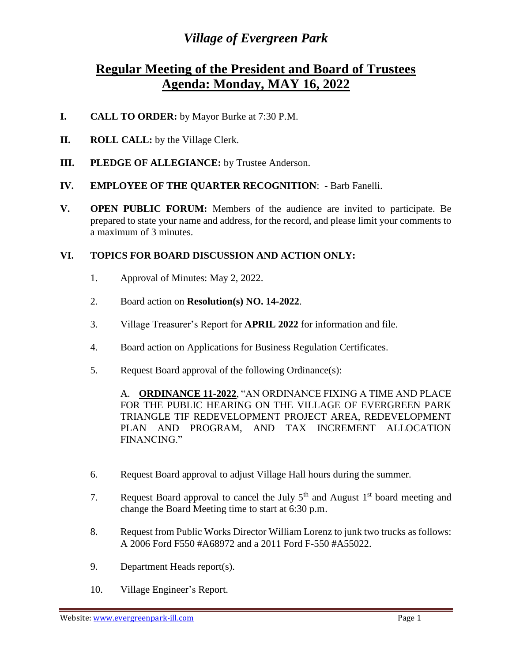## *Village of Evergreen Park*

## **Regular Meeting of the President and Board of Trustees Agenda: Monday, MAY 16, 2022**

- **I. CALL TO ORDER:** by Mayor Burke at 7:30 P.M.
- **II. ROLL CALL:** by the Village Clerk.
- **III. PLEDGE OF ALLEGIANCE:** by Trustee Anderson.
- **IV. EMPLOYEE OF THE QUARTER RECOGNITION**: Barb Fanelli.
- **V. OPEN PUBLIC FORUM:** Members of the audience are invited to participate. Be prepared to state your name and address, for the record, and please limit your comments to a maximum of 3 minutes.

## **VI. TOPICS FOR BOARD DISCUSSION AND ACTION ONLY:**

- 1. Approval of Minutes: May 2, 2022.
- 2. Board action on **Resolution(s) NO. 14-2022**.
- 3. Village Treasurer's Report for **APRIL 2022** for information and file.
- 4. Board action on Applications for Business Regulation Certificates.
- 5. Request Board approval of the following Ordinance(s):

A. **ORDINANCE 11-2022**, "AN ORDINANCE FIXING A TIME AND PLACE FOR THE PUBLIC HEARING ON THE VILLAGE OF EVERGREEN PARK TRIANGLE TIF REDEVELOPMENT PROJECT AREA, REDEVELOPMENT PLAN AND PROGRAM, AND TAX INCREMENT ALLOCATION FINANCING."

- 6. Request Board approval to adjust Village Hall hours during the summer.
- 7. Request Board approval to cancel the July  $5<sup>th</sup>$  and August 1<sup>st</sup> board meeting and change the Board Meeting time to start at 6:30 p.m.
- 8. Request from Public Works Director William Lorenz to junk two trucks as follows: A 2006 Ford F550 #A68972 and a 2011 Ford F-550 #A55022.
- 9. Department Heads report(s).
- 10. Village Engineer's Report.